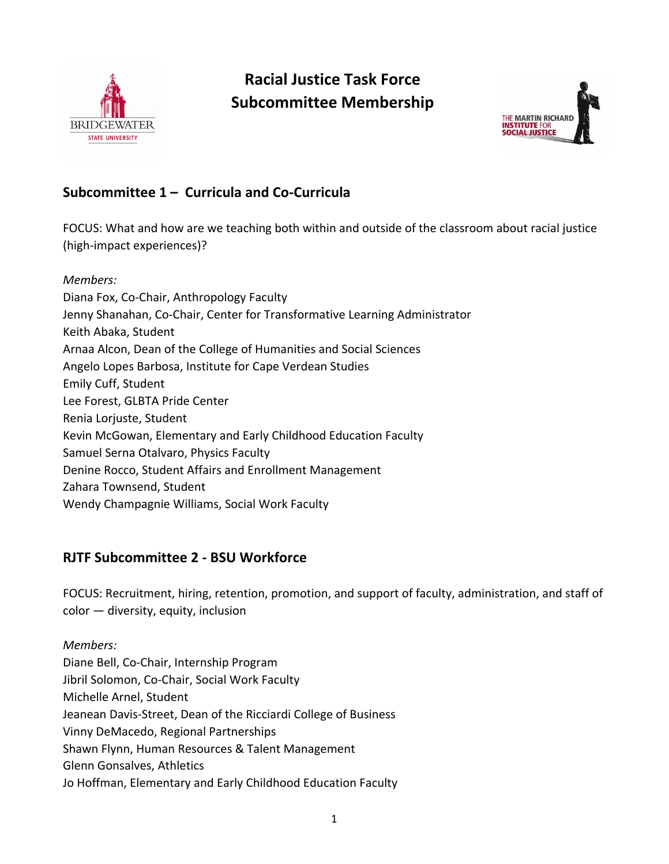

# **Racial Justice Task Force Subcommittee Membership**



# **Subcommittee 1 – Curricula and Co-Curricula**

FOCUS: What and how are we teaching both within and outside of the classroom about racial justice (high-impact experiences)?

*Members:* Diana Fox, Co-Chair, Anthropology Faculty Jenny Shanahan, Co-Chair, Center for Transformative Learning Administrator Keith Abaka, Student Arnaa Alcon, Dean of the College of Humanities and Social Sciences Angelo Lopes Barbosa, Institute for Cape Verdean Studies Emily Cuff, Student Lee Forest, GLBTA Pride Center Renia Lorjuste, Student Kevin McGowan, Elementary and Early Childhood Education Faculty Samuel Serna Otalvaro, Physics Faculty Denine Rocco, Student Affairs and Enrollment Management Zahara Townsend, Student Wendy Champagnie Williams, Social Work Faculty

# **RJTF Subcommittee 2 - BSU Workforce**

FOCUS: Recruitment, hiring, retention, promotion, and support of faculty, administration, and staff of color — diversity, equity, inclusion

*Members:* Diane Bell, Co-Chair, Internship Program Jibril Solomon, Co-Chair, Social Work Faculty Michelle Arnel, Student Jeanean Davis-Street, Dean of the Ricciardi College of Business Vinny DeMacedo, Regional Partnerships Shawn Flynn, Human Resources & Talent Management Glenn Gonsalves, Athletics Jo Hoffman, Elementary and Early Childhood Education Faculty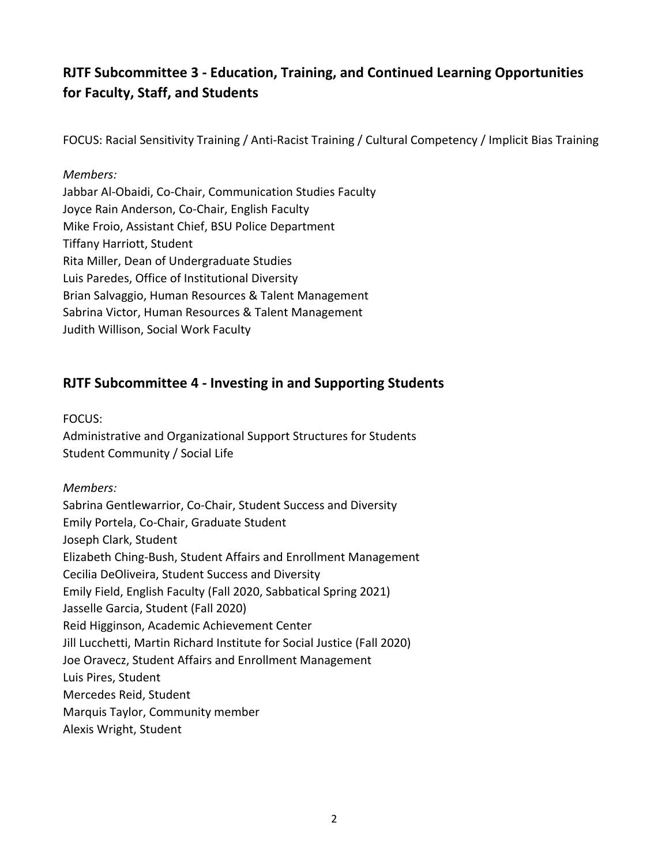# **RJTF Subcommittee 3 - Education, Training, and Continued Learning Opportunities for Faculty, Staff, and Students**

FOCUS: Racial Sensitivity Training / Anti-Racist Training / Cultural Competency / Implicit Bias Training

#### *Members:*

Jabbar Al-Obaidi, Co-Chair, Communication Studies Faculty Joyce Rain Anderson, Co-Chair, English Faculty Mike Froio, Assistant Chief, BSU Police Department Tiffany Harriott, Student Rita Miller, Dean of Undergraduate Studies Luis Paredes, Office of Institutional Diversity Brian Salvaggio, Human Resources & Talent Management Sabrina Victor, Human Resources & Talent Management Judith Willison, Social Work Faculty

### **RJTF Subcommittee 4 - Investing in and Supporting Students**

FOCUS:

Administrative and Organizational Support Structures for Students Student Community / Social Life

#### *Members:*

Sabrina Gentlewarrior, Co-Chair, Student Success and Diversity Emily Portela, Co-Chair, Graduate Student Joseph Clark, Student Elizabeth Ching-Bush, Student Affairs and Enrollment Management Cecilia DeOliveira, Student Success and Diversity Emily Field, English Faculty (Fall 2020, Sabbatical Spring 2021) Jasselle Garcia, Student (Fall 2020) Reid Higginson, Academic Achievement Center Jill Lucchetti, Martin Richard Institute for Social Justice (Fall 2020) Joe Oravecz, Student Affairs and Enrollment Management Luis Pires, Student Mercedes Reid, Student Marquis Taylor, Community member Alexis Wright, Student